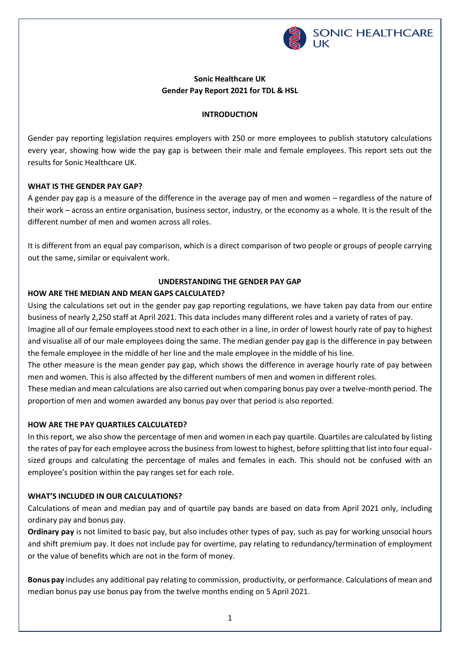

# **Sonic Healthcare UK Gender Pay Report 2021 for TDL & HSL**

#### **INTRODUCTION**

Gender pay reporting legislation requires employers with 250 or more employees to publish statutory calculations every year, showing how wide the pay gap is between their male and female employees. This report sets out the results for Sonic Healthcare UK.

### **WHAT IS THE GENDER PAY GAP?**

A gender pay gap is a measure of the difference in the average pay of men and women – regardless of the nature of their work – across an entire organisation, business sector, industry, or the economy as a whole. It is the result of the different number of men and women across all roles.

It is different from an equal pay comparison, which is a direct comparison of two people or groups of people carrying out the same, similar or equivalent work.

## **UNDERSTANDING THE GENDER PAY GAP**

### **HOW ARE THE MEDIAN AND MEAN GAPS CALCULATED?**

Using the calculations set out in the gender pay gap reporting regulations, we have taken pay data from our entire business of nearly 2,250 staff at April 2021. This data includes many different roles and a variety of rates of pay.

Imagine all of our female employees stood next to each other in a line, in order of lowest hourly rate of pay to highest and visualise all of our male employees doing the same. The median gender pay gap is the difference in pay between the female employee in the middle of her line and the male employee in the middle of his line.

The other measure is the mean gender pay gap, which shows the difference in average hourly rate of pay between men and women. This is also affected by the different numbers of men and women in different roles.

These median and mean calculations are also carried out when comparing bonus pay over a twelve-month period. The proportion of men and women awarded any bonus pay over that period is also reported.

## **HOW ARE THE PAY QUARTILES CALCULATED?**

In this report, we also show the percentage of men and women in each pay quartile. Quartiles are calculated by listing the rates of pay for each employee across the business from lowest to highest, before splitting that list into four equalsized groups and calculating the percentage of males and females in each. This should not be confused with an employee's position within the pay ranges set for each role.

#### **WHAT'S INCLUDED IN OUR CALCULATIONS?**

Calculations of mean and median pay and of quartile pay bands are based on data from April 2021 only, including ordinary pay and bonus pay.

**Ordinary pay** is not limited to basic pay, but also includes other types of pay, such as pay for working unsocial hours and shift premium pay. It does not include pay for overtime, pay relating to redundancy/termination of employment or the value of benefits which are not in the form of money.

**Bonus pay** includes any additional pay relating to commission, productivity, or performance. Calculations of mean and median bonus pay use bonus pay from the twelve months ending on 5 April 2021.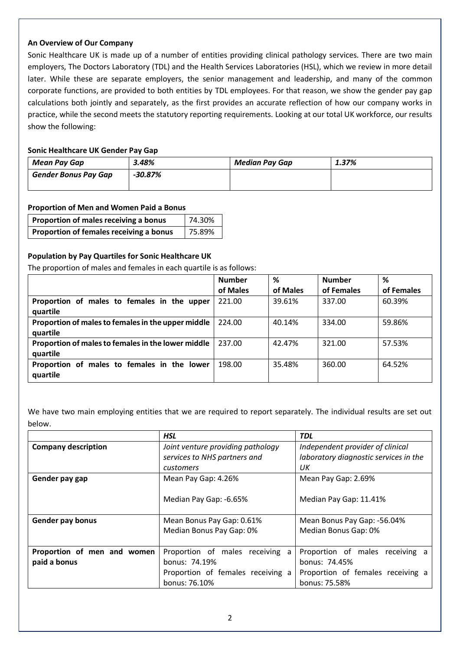#### **An Overview of Our Company**

Sonic Healthcare UK is made up of a number of entities providing clinical pathology services. There are two main employers, The Doctors Laboratory (TDL) and the Health Services Laboratories (HSL), which we review in more detail later. While these are separate employers, the senior management and leadership, and many of the common corporate functions, are provided to both entities by TDL employees. For that reason, we show the gender pay gap calculations both jointly and separately, as the first provides an accurate reflection of how our company works in practice, while the second meets the statutory reporting requirements. Looking at our total UK workforce, our results show the following:

## **Sonic Healthcare UK Gender Pay Gap**

| Mean Pay Gap                | 3.48%     | <b>Median Pay Gap</b> | 1.37% |
|-----------------------------|-----------|-----------------------|-------|
| <b>Gender Bonus Pay Gap</b> | $-30.87%$ |                       |       |
|                             |           |                       |       |

### **Proportion of Men and Women Paid a Bonus**

| Proportion of males receiving a bonus   | 74.30% |  |
|-----------------------------------------|--------|--|
| Proportion of females receiving a bonus | 75.89% |  |

### **Population by Pay Quartiles for Sonic Healthcare UK**

The proportion of males and females in each quartile is as follows:

|                                                                | <b>Number</b> | ℅        | <b>Number</b> | %          |
|----------------------------------------------------------------|---------------|----------|---------------|------------|
|                                                                | of Males      | of Males | of Females    | of Females |
| Proportion of males to females in the upper<br>quartile        | 221.00        | 39.61%   | 337.00        | 60.39%     |
| Proportion of males to females in the upper middle<br>quartile | 224.00        | 40.14%   | 334.00        | 59.86%     |
| Proportion of males to females in the lower middle<br>quartile | 237.00        | 42.47%   | 321.00        | 57.53%     |
| Proportion of males to females in the lower<br>quartile        | 198.00        | 35.48%   | 360.00        | 64.52%     |

We have two main employing entities that we are required to report separately. The individual results are set out below.

|                             | <b>HSL</b>                         | <b>TDL</b>                            |  |
|-----------------------------|------------------------------------|---------------------------------------|--|
| <b>Company description</b>  | Joint venture providing pathology  | Independent provider of clinical      |  |
|                             | services to NHS partners and       | laboratory diagnostic services in the |  |
|                             | customers                          | UК                                    |  |
| Gender pay gap              | Mean Pay Gap: 4.26%                | Mean Pay Gap: 2.69%                   |  |
|                             | Median Pay Gap: -6.65%             | Median Pay Gap: 11.41%                |  |
| <b>Gender pay bonus</b>     | Mean Bonus Pay Gap: 0.61%          | Mean Bonus Pay Gap: -56.04%           |  |
|                             | Median Bonus Pay Gap: 0%           | Median Bonus Gap: 0%                  |  |
|                             |                                    |                                       |  |
| Proportion of men and women | Proportion of males receiving<br>a | Proportion of males receiving a       |  |
| paid a bonus                | bonus: 74.19%                      | bonus: 74.45%                         |  |
|                             | Proportion of females receiving a  | Proportion of females receiving a     |  |
|                             | bonus: 76.10%                      | bonus: 75.58%                         |  |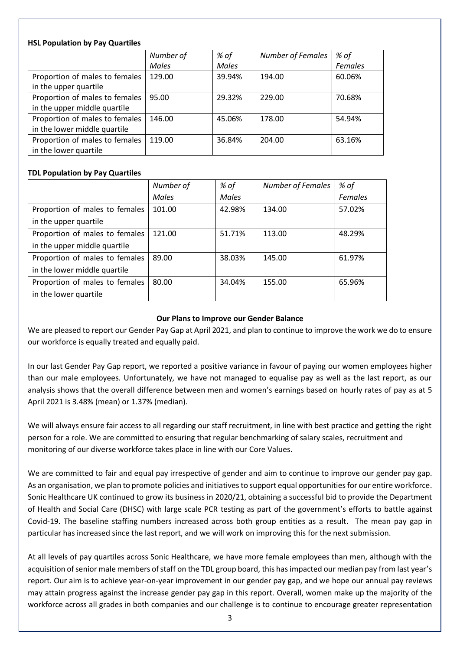### **HSL Population by Pay Quartiles**

|                                | Number of    | % of   | <b>Number of Females</b> | % of           |
|--------------------------------|--------------|--------|--------------------------|----------------|
|                                | <b>Males</b> | Males  |                          | <b>Females</b> |
| Proportion of males to females | 129.00       | 39.94% | 194.00                   | 60.06%         |
| in the upper quartile          |              |        |                          |                |
| Proportion of males to females | 95.00        | 29.32% | 229.00                   | 70.68%         |
| in the upper middle quartile   |              |        |                          |                |
| Proportion of males to females | 146.00       | 45.06% | 178.00                   | 54.94%         |
| in the lower middle quartile   |              |        |                          |                |
| Proportion of males to females | 119.00       | 36.84% | 204.00                   | 63.16%         |
| in the lower quartile          |              |        |                          |                |

## **TDL Population by Pay Quartiles**

|                                | Number of    | % of         | <b>Number of Females</b> | % of           |
|--------------------------------|--------------|--------------|--------------------------|----------------|
|                                | <b>Males</b> | <b>Males</b> |                          | <b>Females</b> |
| Proportion of males to females | 101.00       | 42.98%       | 134.00                   | 57.02%         |
| in the upper quartile          |              |              |                          |                |
| Proportion of males to females | 121.00       | 51.71%       | 113.00                   | 48.29%         |
| in the upper middle quartile   |              |              |                          |                |
| Proportion of males to females | 89.00        | 38.03%       | 145.00                   | 61.97%         |
| in the lower middle quartile   |              |              |                          |                |
| Proportion of males to females | 80.00        | 34.04%       | 155.00                   | 65.96%         |
| in the lower quartile          |              |              |                          |                |

## **Our Plans to Improve our Gender Balance**

We are pleased to report our Gender Pay Gap at April 2021, and plan to continue to improve the work we do to ensure our workforce is equally treated and equally paid.

In our last Gender Pay Gap report, we reported a positive variance in favour of paying our women employees higher than our male employees. Unfortunately, we have not managed to equalise pay as well as the last report, as our analysis shows that the overall difference between men and women's earnings based on hourly rates of pay as at 5 April 2021 is 3.48% (mean) or 1.37% (median).

We will always ensure fair access to all regarding our staff recruitment, in line with best practice and getting the right person for a role. We are committed to ensuring that regular benchmarking of salary scales, recruitment and monitoring of our diverse workforce takes place in line with our Core Values.

We are committed to fair and equal pay irrespective of gender and aim to continue to improve our gender pay gap. As an organisation, we plan to promote policies and initiatives to support equal opportunities for our entire workforce. Sonic Healthcare UK continued to grow its business in 2020/21, obtaining a successful bid to provide the Department of Health and Social Care (DHSC) with large scale PCR testing as part of the government's efforts to battle against Covid-19. The baseline staffing numbers increased across both group entities as a result. The mean pay gap in particular has increased since the last report, and we will work on improving this for the next submission.

At all levels of pay quartiles across Sonic Healthcare, we have more female employees than men, although with the acquisition of senior male members of staff on the TDL group board, this has impacted our median pay from last year's report. Our aim is to achieve year-on-year improvement in our gender pay gap, and we hope our annual pay reviews may attain progress against the increase gender pay gap in this report. Overall, women make up the majority of the workforce across all grades in both companies and our challenge is to continue to encourage greater representation